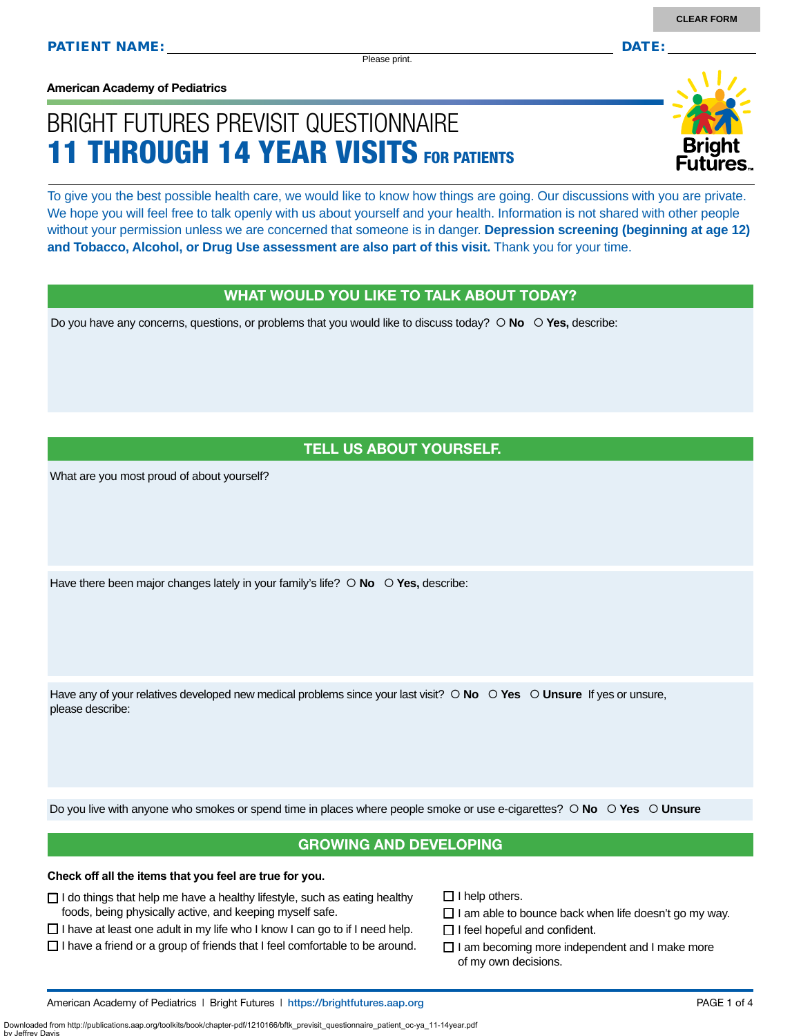Please print.

**American Academy of Pediatrics**

# BRIGHT FUTURES PREVISIT QUESTIONNAIRE 11 THROUGH 14 YEAR VISITS FOR PATIENTS

To give you the best possible health care, we would like to know how things are going. Our discussions with you are private. We hope you will feel free to talk openly with us about yourself and your health. Information is not shared with other people without your permission unless we are concerned that someone is in danger. **Depression screening (beginning at age 12) and Tobacco, Alcohol, or Drug Use assessment are also part of this visit.** Thank you for your time.

#### WHAT WOULD YOU LIKE TO TALK ABOUT TODAY?

Do you have any concerns, questions, or problems that you would like to discuss today?  $\circ$  **No**  $\circ$  **Yes**, describe:

## TELL US ABOUT YOURSELF.

What are you most proud of about yourself?

Have there been major changes lately in your family's life?  $\circ$  **No**  $\circ$  **Yes**, describe:

Have any of your relatives developed new medical problems since your last visit?  $\circ$  **No**  $\circ$  **Yes**  $\circ$  **Unsure** If yes or unsure, please describe:

Do you live with anyone who smokes or spend time in places where people smoke or use e-cigarettes?  **No Yes Unsure**

### GROWING AND DEVELOPING

#### **Check off all the items that you feel are true for you.**

- $\Box$  I do things that help me have a healthy lifestyle, such as eating healthy foods, being physically active, and keeping myself safe.
- $\Box$  I have at least one adult in my life who I know I can go to if I need help.
- $\Box$  I have a friend or a group of friends that I feel comfortable to be around.
- $\Box$  I help others.
- $\Box$  I am able to bounce back when life doesn't go my way.
- $\Box$  I feel hopeful and confident.
- $\Box$  I am becoming more independent and I make more of my own decisions.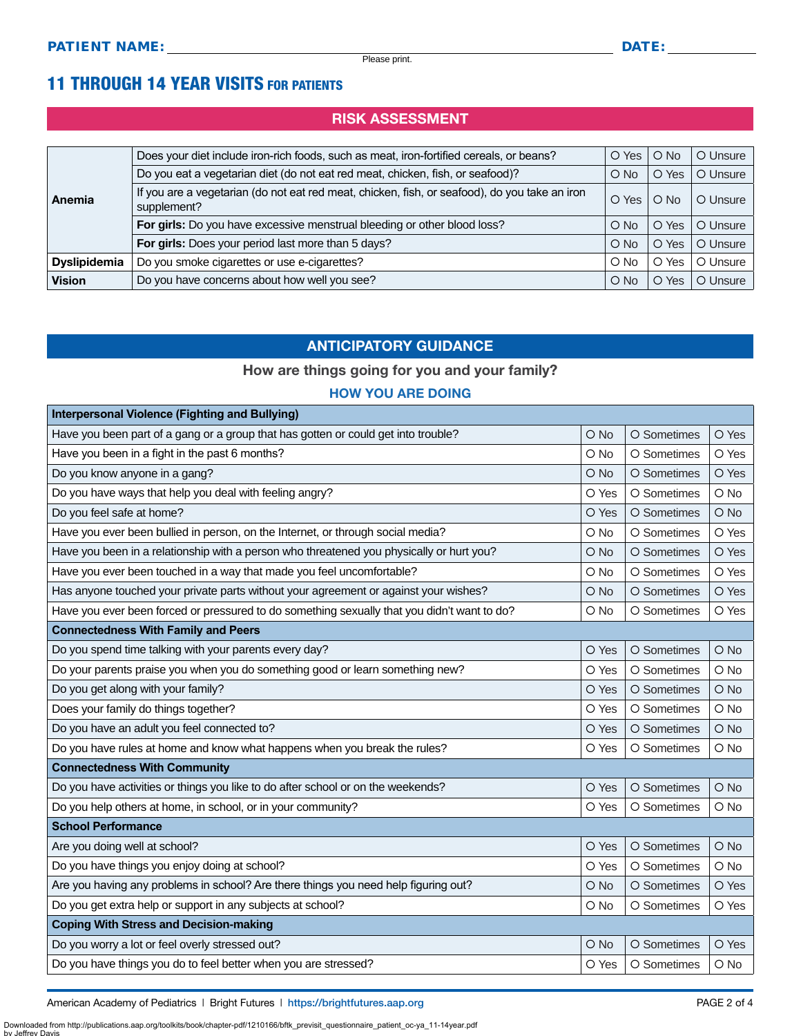# 11 THROUGH 14 YEAR VISITS FOR PATIENTS

## RISK ASSESSMENT

| Anemia              | Does your diet include iron-rich foods, such as meat, iron-fortified cereals, or beans?                      | O Yes      | $O$ No          | O Unsure |
|---------------------|--------------------------------------------------------------------------------------------------------------|------------|-----------------|----------|
|                     | Do you eat a vegetarian diet (do not eat red meat, chicken, fish, or seafood)?                               | $\circ$ No | O Yes           | O Unsure |
|                     | If you are a vegetarian (do not eat red meat, chicken, fish, or seafood), do you take an iron<br>supplement? | O Yes      | $\circ$ No      | O Unsure |
|                     | For girls: Do you have excessive menstrual bleeding or other blood loss?                                     | $\circ$ No | Yes<br>$\circ$  | O Unsure |
|                     | For girls: Does your period last more than 5 days?                                                           | $\circ$ No | Yes<br>$\Omega$ | O Unsure |
| <b>Dyslipidemia</b> | Do you smoke cigarettes or use e-cigarettes?                                                                 | $\circ$ No | O Yes           | O Unsure |
| <b>Vision</b>       | Do you have concerns about how well you see?                                                                 | $\circ$ No | O Yes           | O Unsure |

## ANTICIPATORY GUIDANCE

## How are things going for you and your family?

#### HOW YOU ARE DOING

| <b>Interpersonal Violence (Fighting and Bullying)</b>                                       |               |             |            |  |  |
|---------------------------------------------------------------------------------------------|---------------|-------------|------------|--|--|
| Have you been part of a gang or a group that has gotten or could get into trouble?          | $\bigcirc$ No | O Sometimes | O Yes      |  |  |
| Have you been in a fight in the past 6 months?                                              | O No          | O Sometimes | O Yes      |  |  |
| Do you know anyone in a gang?                                                               | O No          | O Sometimes | O Yes      |  |  |
| Do you have ways that help you deal with feeling angry?                                     | O Yes         | O Sometimes | O No       |  |  |
| Do you feel safe at home?                                                                   | O Yes         | O Sometimes | O No       |  |  |
| Have you ever been bullied in person, on the Internet, or through social media?             | O No          | O Sometimes | O Yes      |  |  |
| Have you been in a relationship with a person who threatened you physically or hurt you?    | O No          | O Sometimes | O Yes      |  |  |
| Have you ever been touched in a way that made you feel uncomfortable?                       | O No          | O Sometimes | O Yes      |  |  |
| Has anyone touched your private parts without your agreement or against your wishes?        | O No          | O Sometimes | O Yes      |  |  |
| Have you ever been forced or pressured to do something sexually that you didn't want to do? | O No          | O Sometimes | O Yes      |  |  |
| <b>Connectedness With Family and Peers</b>                                                  |               |             |            |  |  |
| Do you spend time talking with your parents every day?                                      | O Yes         | O Sometimes | O No       |  |  |
| Do your parents praise you when you do something good or learn something new?               | O Yes         | O Sometimes | O No       |  |  |
| Do you get along with your family?                                                          | O Yes         | O Sometimes | $O$ No     |  |  |
| Does your family do things together?                                                        | O Yes         | O Sometimes | O No       |  |  |
| Do you have an adult you feel connected to?                                                 | O Yes         | O Sometimes | O No       |  |  |
| Do you have rules at home and know what happens when you break the rules?                   | O Yes         | O Sometimes | O No       |  |  |
| <b>Connectedness With Community</b>                                                         |               |             |            |  |  |
| Do you have activities or things you like to do after school or on the weekends?            | O Yes         | O Sometimes | O No       |  |  |
| Do you help others at home, in school, or in your community?                                | O Yes         | O Sometimes | $\circ$ No |  |  |
| <b>School Performance</b>                                                                   |               |             |            |  |  |
| Are you doing well at school?                                                               | O Yes         | O Sometimes | O No       |  |  |
| Do you have things you enjoy doing at school?                                               | O Yes         | O Sometimes | O No       |  |  |
| Are you having any problems in school? Are there things you need help figuring out?         | O No          | O Sometimes | O Yes      |  |  |
| Do you get extra help or support in any subjects at school?                                 | O No          | O Sometimes | O Yes      |  |  |
| <b>Coping With Stress and Decision-making</b>                                               |               |             |            |  |  |
| Do you worry a lot or feel overly stressed out?                                             | O No          | O Sometimes | O Yes      |  |  |
| Do you have things you do to feel better when you are stressed?                             | O Yes         | O Sometimes | O No       |  |  |

American Academy of Pediatrics | Bright Futures | https:/[/brightfutures.aap.org](https://brightfutures.aap.org/Pages/default.aspx) | Namerican Academy of PAGE 2 of 4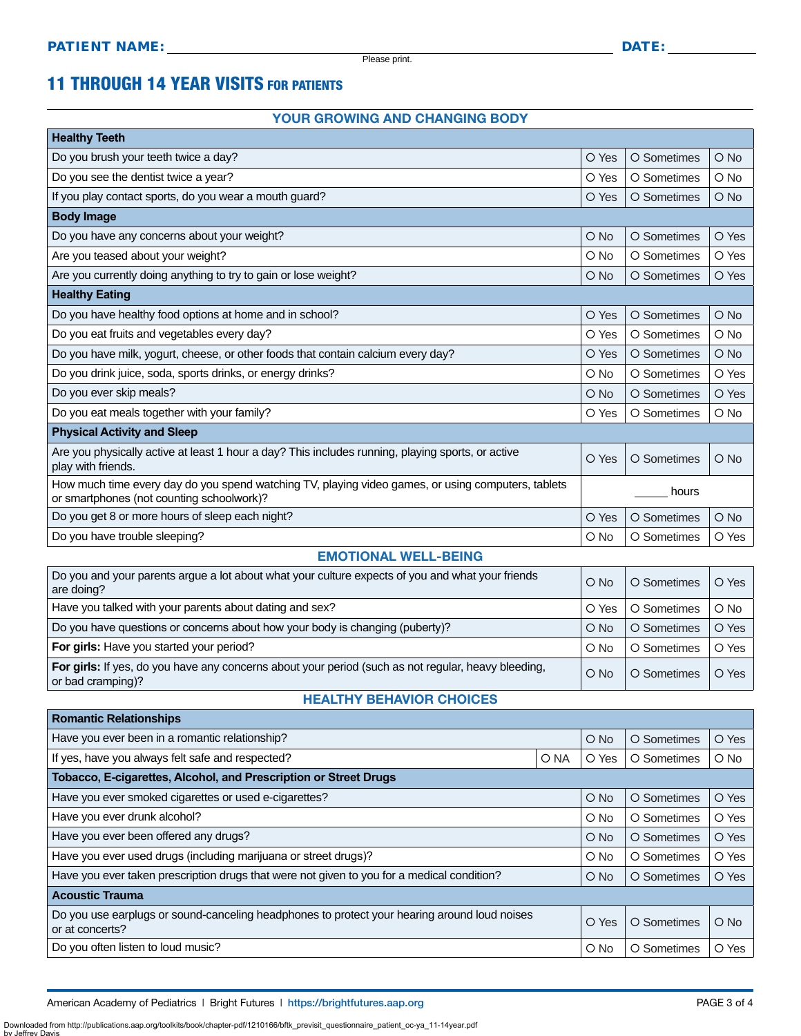Please print.

# 11 THROUGH 14 YEAR VISITS FOR PATIENTS

#### YOUR GROWING AND CHANGING BODY

| <b>Healthy Teeth</b>                                                                                                                            |               |             |        |  |  |
|-------------------------------------------------------------------------------------------------------------------------------------------------|---------------|-------------|--------|--|--|
| Do you brush your teeth twice a day?                                                                                                            | O Yes         | O Sometimes | $O$ No |  |  |
| Do you see the dentist twice a year?                                                                                                            | O Yes         | O Sometimes | O No   |  |  |
| If you play contact sports, do you wear a mouth guard?                                                                                          | O Yes         | O Sometimes | $O$ No |  |  |
| <b>Body Image</b>                                                                                                                               |               |             |        |  |  |
| Do you have any concerns about your weight?                                                                                                     | $\bigcirc$ No | O Sometimes | O Yes  |  |  |
| Are you teased about your weight?                                                                                                               | O No          | O Sometimes | O Yes  |  |  |
| Are you currently doing anything to try to gain or lose weight?                                                                                 | $O$ No        | O Sometimes | O Yes  |  |  |
| <b>Healthy Eating</b>                                                                                                                           |               |             |        |  |  |
| Do you have healthy food options at home and in school?                                                                                         | O Yes         | O Sometimes | O No   |  |  |
| Do you eat fruits and vegetables every day?                                                                                                     | O Yes         | O Sometimes | $O$ No |  |  |
| Do you have milk, yogurt, cheese, or other foods that contain calcium every day?                                                                | O Yes         | O Sometimes | O No   |  |  |
| Do you drink juice, soda, sports drinks, or energy drinks?                                                                                      | O No          | O Sometimes | O Yes  |  |  |
| Do you ever skip meals?                                                                                                                         | $O$ No        | O Sometimes | O Yes  |  |  |
| Do you eat meals together with your family?                                                                                                     | O Yes         | O Sometimes | $O$ No |  |  |
| <b>Physical Activity and Sleep</b>                                                                                                              |               |             |        |  |  |
| Are you physically active at least 1 hour a day? This includes running, playing sports, or active<br>play with friends.                         | O Yes         | O Sometimes | $O$ No |  |  |
| How much time every day do you spend watching TV, playing video games, or using computers, tablets<br>or smartphones (not counting schoolwork)? | hours         |             |        |  |  |
| Do you get 8 or more hours of sleep each night?                                                                                                 | O Yes         | O Sometimes | $O$ No |  |  |
| Do you have trouble sleeping?                                                                                                                   | $\circ$ No    | O Sometimes | O Yes  |  |  |

#### EMOTIONAL WELL-BEING

| Do you and your parents argue a lot about what your culture expects of you and what your friends<br>are doing?           | $O$ No     | O Sometimes | O Yes         |
|--------------------------------------------------------------------------------------------------------------------------|------------|-------------|---------------|
| Have you talked with your parents about dating and sex?                                                                  | O Yes      | O Sometimes | $\bigcirc$ No |
| Do you have questions or concerns about how your body is changing (puberty)?                                             | $O$ No     | O Sometimes | O Yes         |
| For girls: Have you started your period?                                                                                 | $\circ$ No | O Sometimes | O Yes         |
| For girls: If yes, do you have any concerns about your period (such as not regular, heavy bleeding,<br>or bad cramping)? | $O$ No     | O Sometimes | O Yes         |

#### HEALTHY BEHAVIOR CHOICES

| <b>Romantic Relationships</b>                                                                                   |  |            |             |        |  |
|-----------------------------------------------------------------------------------------------------------------|--|------------|-------------|--------|--|
| Have you ever been in a romantic relationship?                                                                  |  | O No       | O Sometimes | O Yes  |  |
| If yes, have you always felt safe and respected?<br>O NA                                                        |  | O Yes      | O Sometimes | $O$ No |  |
| Tobacco, E-cigarettes, Alcohol, and Prescription or Street Drugs                                                |  |            |             |        |  |
| Have you ever smoked cigarettes or used e-cigarettes?                                                           |  | $O$ No     | O Sometimes | O Yes  |  |
| Have you ever drunk alcohol?                                                                                    |  | O No       | O Sometimes | O Yes  |  |
| Have you ever been offered any drugs?                                                                           |  | $O$ No     | O Sometimes | O Yes  |  |
| Have you ever used drugs (including marijuana or street drugs)?                                                 |  | $\circ$ No | O Sometimes | O Yes  |  |
| Have you ever taken prescription drugs that were not given to you for a medical condition?                      |  |            | O Sometimes | O Yes  |  |
| <b>Acoustic Trauma</b>                                                                                          |  |            |             |        |  |
| Do you use earplugs or sound-canceling headphones to protect your hearing around loud noises<br>or at concerts? |  | O Yes      | O Sometimes | $O$ No |  |
| Do you often listen to loud music?                                                                              |  | O No       | O Sometimes | O Yes  |  |